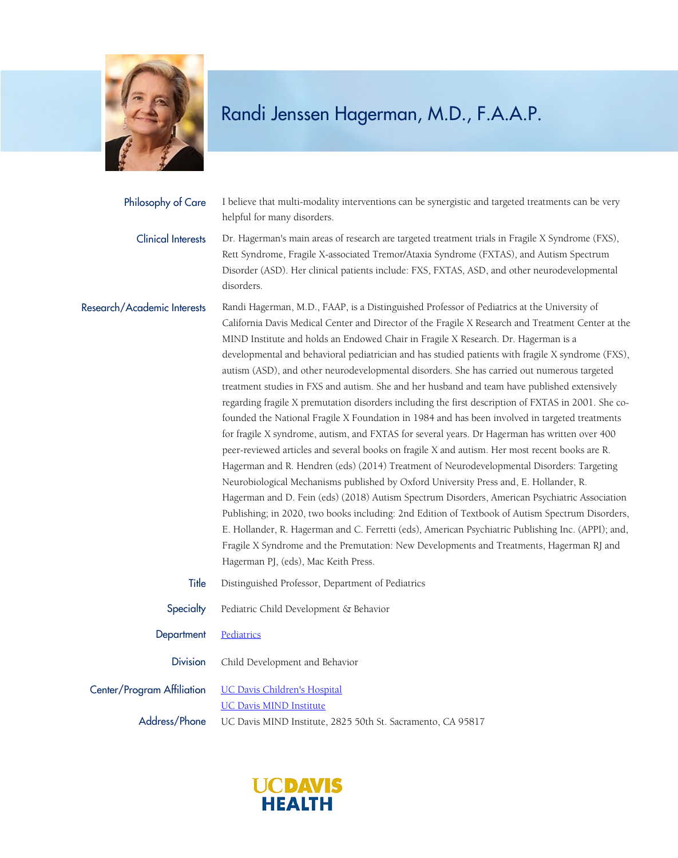

| Philosophy of Care          | I believe that multi-modality interventions can be synergistic and targeted treatments can be very<br>helpful for many disorders.                                                                                                                                                                                                                                                                                                                                                                                                                                                                                                                                                                                                                                                                                                                                                                                                                                                                                                                                                                                                                                                                                                                                                                                                                                                                                                                                                                                                                                                                                                           |
|-----------------------------|---------------------------------------------------------------------------------------------------------------------------------------------------------------------------------------------------------------------------------------------------------------------------------------------------------------------------------------------------------------------------------------------------------------------------------------------------------------------------------------------------------------------------------------------------------------------------------------------------------------------------------------------------------------------------------------------------------------------------------------------------------------------------------------------------------------------------------------------------------------------------------------------------------------------------------------------------------------------------------------------------------------------------------------------------------------------------------------------------------------------------------------------------------------------------------------------------------------------------------------------------------------------------------------------------------------------------------------------------------------------------------------------------------------------------------------------------------------------------------------------------------------------------------------------------------------------------------------------------------------------------------------------|
| <b>Clinical Interests</b>   | Dr. Hagerman's main areas of research are targeted treatment trials in Fragile X Syndrome (FXS),<br>Rett Syndrome, Fragile X-associated Tremor/Ataxia Syndrome (FXTAS), and Autism Spectrum<br>Disorder (ASD). Her clinical patients include: FXS, FXTAS, ASD, and other neurodevelopmental<br>disorders.                                                                                                                                                                                                                                                                                                                                                                                                                                                                                                                                                                                                                                                                                                                                                                                                                                                                                                                                                                                                                                                                                                                                                                                                                                                                                                                                   |
| Research/Academic Interests | Randi Hagerman, M.D., FAAP, is a Distinguished Professor of Pediatrics at the University of<br>California Davis Medical Center and Director of the Fragile X Research and Treatment Center at the<br>MIND Institute and holds an Endowed Chair in Fragile X Research. Dr. Hagerman is a<br>developmental and behavioral pediatrician and has studied patients with fragile X syndrome (FXS),<br>autism (ASD), and other neurodevelopmental disorders. She has carried out numerous targeted<br>treatment studies in FXS and autism. She and her husband and team have published extensively<br>regarding fragile X premutation disorders including the first description of FXTAS in 2001. She co-<br>founded the National Fragile X Foundation in 1984 and has been involved in targeted treatments<br>for fragile X syndrome, autism, and FXTAS for several years. Dr Hagerman has written over 400<br>peer-reviewed articles and several books on fragile X and autism. Her most recent books are R.<br>Hagerman and R. Hendren (eds) (2014) Treatment of Neurodevelopmental Disorders: Targeting<br>Neurobiological Mechanisms published by Oxford University Press and, E. Hollander, R.<br>Hagerman and D. Fein (eds) (2018) Autism Spectrum Disorders, American Psychiatric Association<br>Publishing; in 2020, two books including: 2nd Edition of Textbook of Autism Spectrum Disorders,<br>E. Hollander, R. Hagerman and C. Ferretti (eds), American Psychiatric Publishing Inc. (APPI); and,<br>Fragile X Syndrome and the Premutation: New Developments and Treatments, Hagerman RJ and<br>Hagerman PJ, (eds), Mac Keith Press. |
| Title                       | Distinguished Professor, Department of Pediatrics                                                                                                                                                                                                                                                                                                                                                                                                                                                                                                                                                                                                                                                                                                                                                                                                                                                                                                                                                                                                                                                                                                                                                                                                                                                                                                                                                                                                                                                                                                                                                                                           |
| Specialty                   | Pediatric Child Development & Behavior                                                                                                                                                                                                                                                                                                                                                                                                                                                                                                                                                                                                                                                                                                                                                                                                                                                                                                                                                                                                                                                                                                                                                                                                                                                                                                                                                                                                                                                                                                                                                                                                      |
| Department                  | Pediatrics                                                                                                                                                                                                                                                                                                                                                                                                                                                                                                                                                                                                                                                                                                                                                                                                                                                                                                                                                                                                                                                                                                                                                                                                                                                                                                                                                                                                                                                                                                                                                                                                                                  |
| <b>Division</b>             | Child Development and Behavior                                                                                                                                                                                                                                                                                                                                                                                                                                                                                                                                                                                                                                                                                                                                                                                                                                                                                                                                                                                                                                                                                                                                                                                                                                                                                                                                                                                                                                                                                                                                                                                                              |
| Center/Program Affiliation  | <b>UC Davis Children's Hospital</b><br><b>UC Davis MIND Institute</b>                                                                                                                                                                                                                                                                                                                                                                                                                                                                                                                                                                                                                                                                                                                                                                                                                                                                                                                                                                                                                                                                                                                                                                                                                                                                                                                                                                                                                                                                                                                                                                       |
| Address/Phone               |                                                                                                                                                                                                                                                                                                                                                                                                                                                                                                                                                                                                                                                                                                                                                                                                                                                                                                                                                                                                                                                                                                                                                                                                                                                                                                                                                                                                                                                                                                                                                                                                                                             |

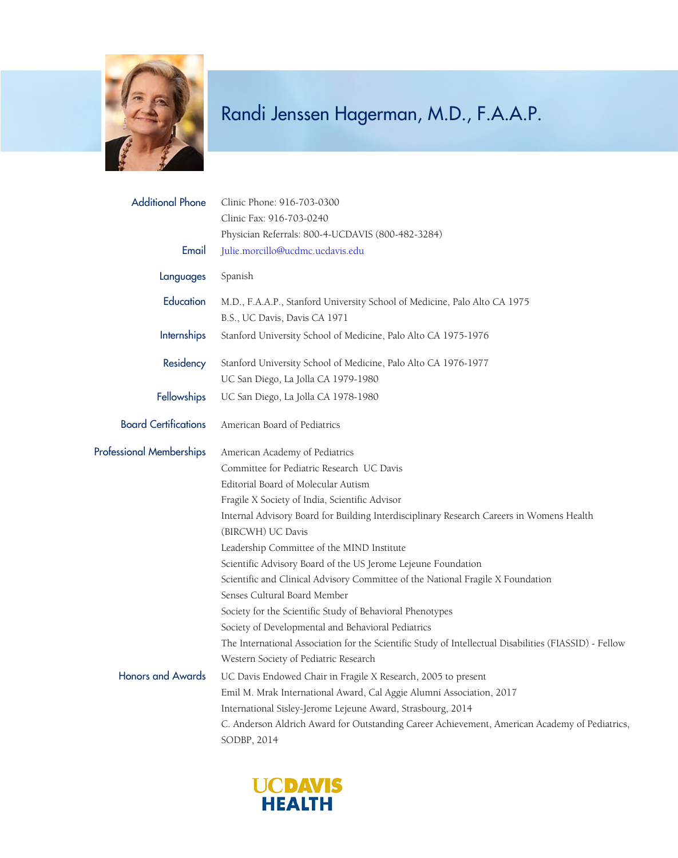

| <b>Additional Phone</b>         | Clinic Phone: 916-703-0300                                                                                    |
|---------------------------------|---------------------------------------------------------------------------------------------------------------|
|                                 | Clinic Fax: 916-703-0240                                                                                      |
|                                 | Physician Referrals: 800-4-UCDAVIS (800-482-3284)                                                             |
| Email                           | Julie.morcillo@ucdmc.ucdavis.edu                                                                              |
| Languages                       | Spanish                                                                                                       |
| Education                       | M.D., F.A.A.P., Stanford University School of Medicine, Palo Alto CA 1975                                     |
|                                 | B.S., UC Davis, Davis CA 1971                                                                                 |
| Internships                     | Stanford University School of Medicine, Palo Alto CA 1975-1976                                                |
| Residency                       | Stanford University School of Medicine, Palo Alto CA 1976-1977                                                |
|                                 | UC San Diego, La Jolla CA 1979-1980                                                                           |
| <b>Fellowships</b>              | UC San Diego, La Jolla CA 1978-1980                                                                           |
| <b>Board Certifications</b>     | American Board of Pediatrics                                                                                  |
| <b>Professional Memberships</b> | American Academy of Pediatrics                                                                                |
|                                 | Committee for Pediatric Research UC Davis                                                                     |
|                                 | Editorial Board of Molecular Autism                                                                           |
|                                 | Fragile X Society of India, Scientific Advisor                                                                |
|                                 | Internal Advisory Board for Building Interdisciplinary Research Careers in Womens Health<br>(BIRCWH) UC Davis |
|                                 | Leadership Committee of the MIND Institute                                                                    |
|                                 | Scientific Advisory Board of the US Jerome Lejeune Foundation                                                 |
|                                 | Scientific and Clinical Advisory Committee of the National Fragile X Foundation                               |
|                                 | Senses Cultural Board Member                                                                                  |
|                                 | Society for the Scientific Study of Behavioral Phenotypes                                                     |
|                                 | Society of Developmental and Behavioral Pediatrics                                                            |
|                                 | The International Association for the Scientific Study of Intellectual Disabilities (FIASSID) - Fellow        |
|                                 | Western Society of Pediatric Research                                                                         |
| <b>Honors and Awards</b>        | UC Davis Endowed Chair in Fragile X Research, 2005 to present                                                 |
|                                 | Emil M. Mrak International Award, Cal Aggie Alumni Association, 2017                                          |
|                                 | International Sisley-Jerome Lejeune Award, Strasbourg, 2014                                                   |
|                                 | C. Anderson Aldrich Award for Outstanding Career Achievement, American Academy of Pediatrics,<br>SODBP, 2014  |

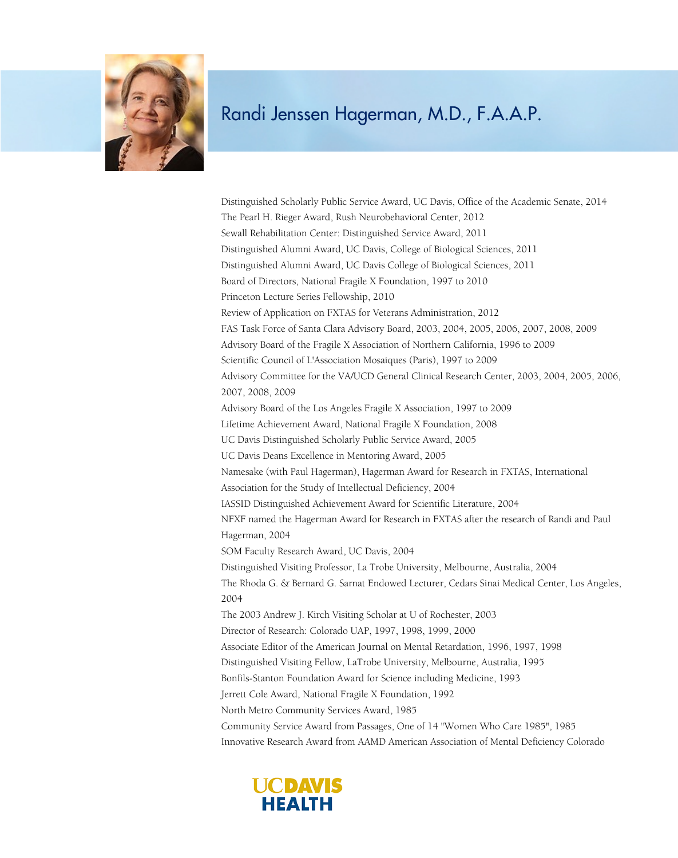

Distinguished Scholarly Public Service Award, UC Davis, Office of the Academic Senate, 2014 The Pearl H. Rieger Award, Rush Neurobehavioral Center, 2012 Sewall Rehabilitation Center: Distinguished Service Award, 2011 Distinguished Alumni Award, UC Davis, College of Biological Sciences, 2011 Distinguished Alumni Award, UC Davis College of Biological Sciences, 2011 Board of Directors, National Fragile X Foundation, 1997 to 2010 Princeton Lecture Series Fellowship, 2010 Review of Application on FXTAS for Veterans Administration, 2012 FAS Task Force of Santa Clara Advisory Board, 2003, 2004, 2005, 2006, 2007, 2008, 2009 Advisory Board of the Fragile X Association of Northern California, 1996 to 2009 Scientific Council of L'Association Mosaiques (Paris), 1997 to 2009 Advisory Committee for the VA/UCD General Clinical Research Center, 2003, 2004, 2005, 2006, 2007, 2008, 2009 Advisory Board of the Los Angeles Fragile X Association, 1997 to 2009 Lifetime Achievement Award, National Fragile X Foundation, 2008 UC Davis Distinguished Scholarly Public Service Award, 2005 UC Davis Deans Excellence in Mentoring Award, 2005 Namesake (with Paul Hagerman), Hagerman Award for Research in FXTAS, International Association for the Study of Intellectual Deficiency, 2004 IASSID Distinguished Achievement Award for Scientific Literature, 2004 NFXF named the Hagerman Award for Research in FXTAS after the research of Randi and Paul Hagerman, 2004 SOM Faculty Research Award, UC Davis, 2004 Distinguished Visiting Professor, La Trobe University, Melbourne, Australia, 2004 The Rhoda G. & Bernard G. Sarnat Endowed Lecturer, Cedars Sinai Medical Center, Los Angeles, 2004 The 2003 Andrew J. Kirch Visiting Scholar at U of Rochester, 2003 Director of Research: Colorado UAP, 1997, 1998, 1999, 2000 Associate Editor of the American Journal on Mental Retardation, 1996, 1997, 1998 Distinguished Visiting Fellow, LaTrobe University, Melbourne, Australia, 1995 Bonfils-Stanton Foundation Award for Science including Medicine, 1993 Jerrett Cole Award, National Fragile X Foundation, 1992 North Metro Community Services Award, 1985 Community Service Award from Passages, One of 14 "Women Who Care 1985", 1985 Innovative Research Award from AAMD American Association of Mental Deficiency Colorado

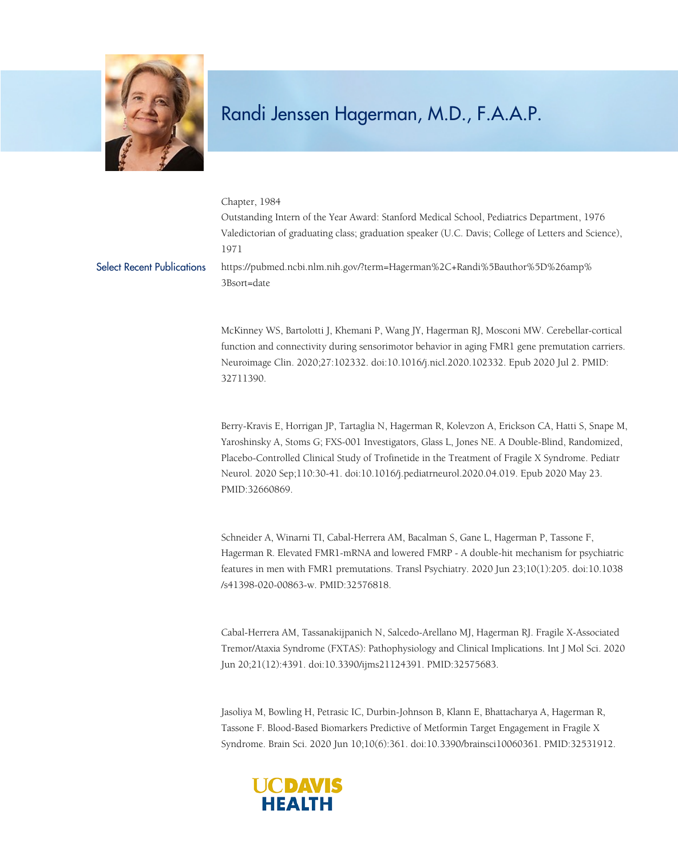

Chapter, 1984 Outstanding Intern of the Year Award: Stanford Medical School, Pediatrics Department, 1976 Valedictorian of graduating class; graduation speaker (U.C. Davis; College of Letters and Science), 1971 Select Recent Publications https://pubmed.ncbi.nlm.nih.gov/?term=Hagerman%2C+Randi%5Bauthor%5D%26amp% 3Bsort=date

> McKinney WS, Bartolotti J, Khemani P, Wang JY, Hagerman RJ, Mosconi MW. Cerebellar-cortical function and connectivity during sensorimotor behavior in aging FMR1 gene premutation carriers. Neuroimage Clin. 2020;27:102332. doi:10.1016/j.nicl.2020.102332. Epub 2020 Jul 2. PMID: 32711390.

Berry-Kravis E, Horrigan JP, Tartaglia N, Hagerman R, Kolevzon A, Erickson CA, Hatti S, Snape M, Yaroshinsky A, Stoms G; FXS-001 Investigators, Glass L, Jones NE. A Double-Blind, Randomized, Placebo-Controlled Clinical Study of Trofinetide in the Treatment of Fragile X Syndrome. Pediatr Neurol. 2020 Sep;110:30-41. doi:10.1016/j.pediatrneurol.2020.04.019. Epub 2020 May 23. PMID:32660869.

Schneider A, Winarni TI, Cabal-Herrera AM, Bacalman S, Gane L, Hagerman P, Tassone F, Hagerman R. Elevated FMR1-mRNA and lowered FMRP - A double-hit mechanism for psychiatric features in men with FMR1 premutations. Transl Psychiatry. 2020 Jun 23;10(1):205. doi:10.1038 /s41398-020-00863-w. PMID:32576818.

Cabal-Herrera AM, Tassanakijpanich N, Salcedo-Arellano MJ, Hagerman RJ. Fragile X-Associated Tremor/Ataxia Syndrome (FXTAS): Pathophysiology and Clinical Implications. Int J Mol Sci. 2020 Jun 20;21(12):4391. doi:10.3390/ijms21124391. PMID:32575683.

Jasoliya M, Bowling H, Petrasic IC, Durbin-Johnson B, Klann E, Bhattacharya A, Hagerman R, Tassone F. Blood-Based Biomarkers Predictive of Metformin Target Engagement in Fragile X Syndrome. Brain Sci. 2020 Jun 10;10(6):361. doi:10.3390/brainsci10060361. PMID:32531912.